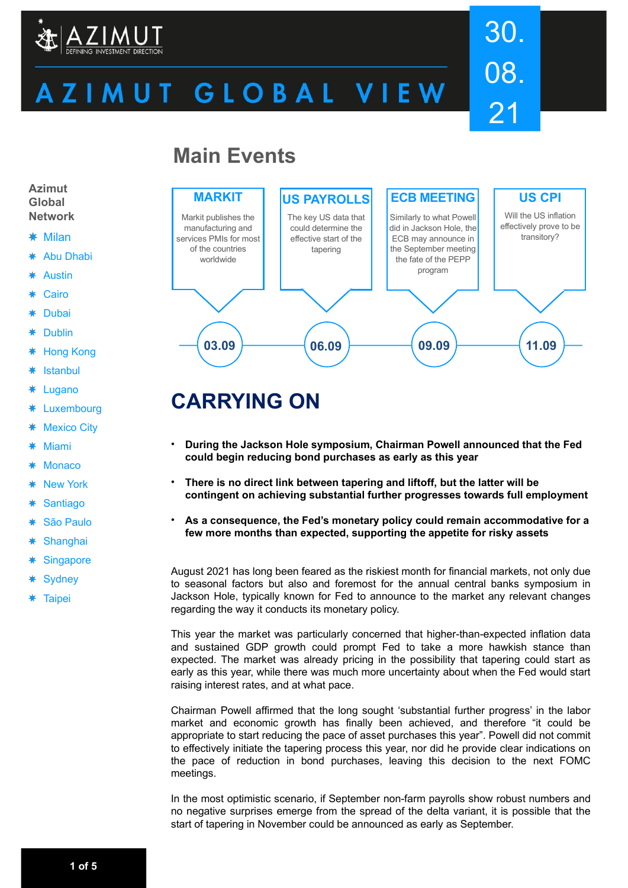

# ZIMUT GLOBAL VIEW

# 30. 08. 21

# **Main Events**



- Milan
- Abu Dhabi ∗
- Austin
- Cairo
- Dubai ∗
- 蓮 Dublin
- Hong Kong 粬
- ₩ Istanbul
- ₩ Lugano
- Luxembourg ∗
- ₩ Mexico City
- ₩ Miami
- **Monaco**
- New York 粬
- **Santiago** 粬
- São Paulo
- 粬 **Shanghai**
- **Singapore** 粬
- **Sydney**
- **Taipei**



# **CARRYING ON**

- **During the Jackson Hole symposium, Chairman Powell announced that the Fed could begin reducing bond purchases as early as this year**
- **There is no direct link between tapering and liftoff, but the latter will be contingent on achieving substantial further progresses towards full employment**
- **As a consequence, the Fed's monetary policy could remain accommodative for a few more months than expected, supporting the appetite for risky assets**

August 2021 has long been feared as the riskiest month for financial markets, not only due to seasonal factors but also and foremost for the annual central banks symposium in Jackson Hole, typically known for Fed to announce to the market any relevant changes regarding the way it conducts its monetary policy.

This year the market was particularly concerned that higher-than-expected inflation data and sustained GDP growth could prompt Fed to take a more hawkish stance than expected. The market was already pricing in the possibility that tapering could start as early as this year, while there was much more uncertainty about when the Fed would start raising interest rates, and at what pace.

Chairman Powell affirmed that the long sought 'substantial further progress' in the labor market and economic growth has finally been achieved, and therefore "it could be appropriate to start reducing the pace of asset purchases this year". Powell did not commit to effectively initiate the tapering process this year, nor did he provide clear indications on the pace of reduction in bond purchases, leaving this decision to the next FOMC meetings.

In the most optimistic scenario, if September non-farm payrolls show robust numbers and no negative surprises emerge from the spread of the delta variant, it is possible that the start of tapering in November could be announced as early as September.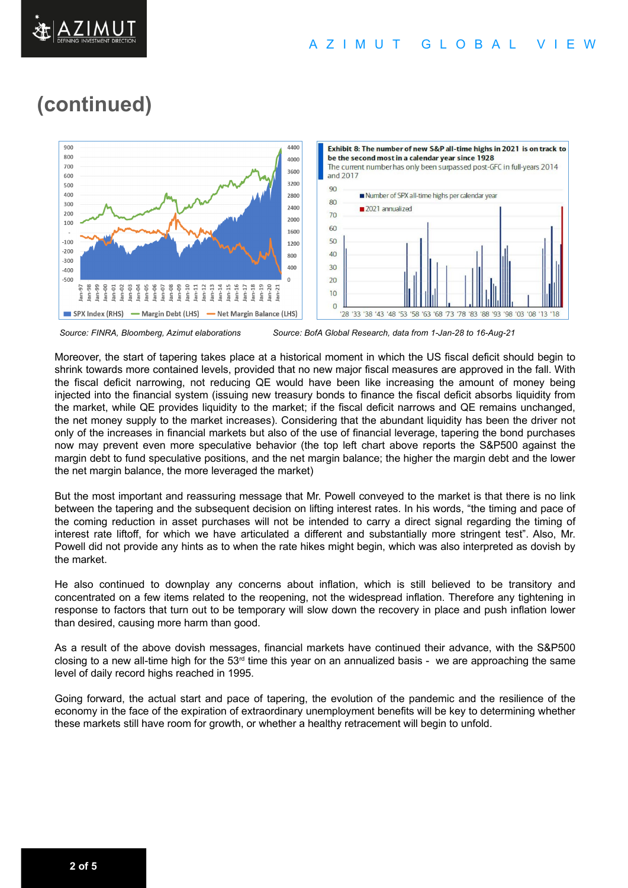

# **(continued)**



 *Source: FINRA, Bloomberg, Azimut elaborations Source: BofA Global Research, data from 1-Jan-28 to 16-Aug-21*

Moreover, the start of tapering takes place at a historical moment in which the US fiscal deficit should begin to shrink towards more contained levels, provided that no new major fiscal measures are approved in the fall. With the fiscal deficit narrowing, not reducing QE would have been like increasing the amount of money being injected into the financial system (issuing new treasury bonds to finance the fiscal deficit absorbs liquidity from the market, while QE provides liquidity to the market; if the fiscal deficit narrows and QE remains unchanged, the net money supply to the market increases). Considering that the abundant liquidity has been the driver not only of the increases in financial markets but also of the use of financial leverage, tapering the bond purchases now may prevent even more speculative behavior (the top left chart above reports the S&P500 against the margin debt to fund speculative positions, and the net margin balance; the higher the margin debt and the lower the net margin balance, the more leveraged the market)

But the most important and reassuring message that Mr. Powell conveyed to the market is that there is no link between the tapering and the subsequent decision on lifting interest rates. In his words, "the timing and pace of the coming reduction in asset purchases will not be intended to carry a direct signal regarding the timing of interest rate liftoff, for which we have articulated a different and substantially more stringent test". Also, Mr. Powell did not provide any hints as to when the rate hikes might begin, which was also interpreted as dovish by the market.

He also continued to downplay any concerns about inflation, which is still believed to be transitory and concentrated on a few items related to the reopening, not the widespread inflation. Therefore any tightening in response to factors that turn out to be temporary will slow down the recovery in place and push inflation lower than desired, causing more harm than good.

As a result of the above dovish messages, financial markets have continued their advance, with the S&P500 closing to a new all-time high for the  $53<sup>rd</sup>$  time this year on an annualized basis - we are approaching the same level of daily record highs reached in 1995.

Going forward, the actual start and pace of tapering, the evolution of the pandemic and the resilience of the economy in the face of the expiration of extraordinary unemployment benefits will be key to determining whether these markets still have room for growth, or whether a healthy retracement will begin to unfold.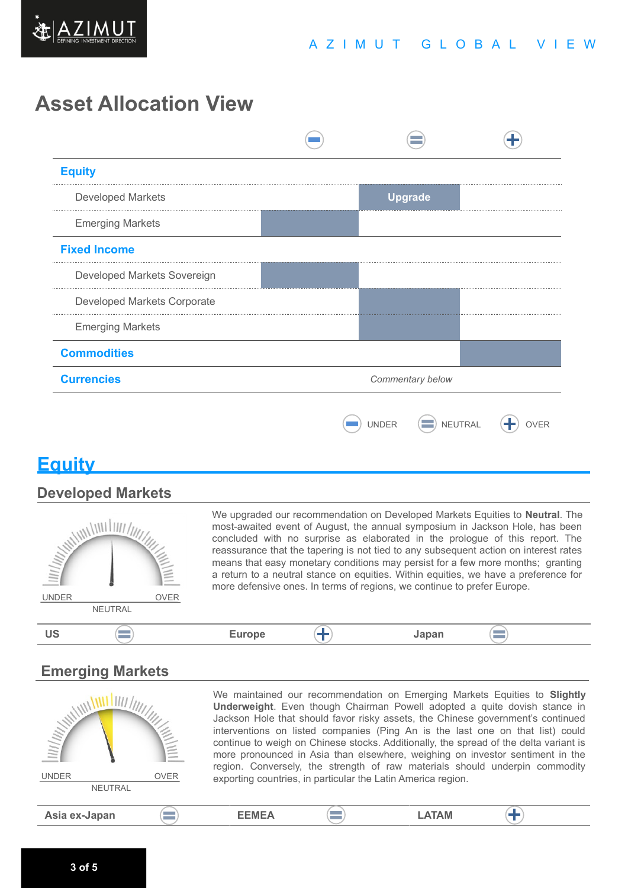

# **Asset Allocation View**

| <b>Equity</b>               |                  |              |                |         |  |
|-----------------------------|------------------|--------------|----------------|---------|--|
| <b>Developed Markets</b>    |                  |              | <b>Upgrade</b> |         |  |
| <b>Emerging Markets</b>     |                  |              |                |         |  |
| <b>Fixed Income</b>         |                  |              |                |         |  |
| Developed Markets Sovereign |                  |              |                |         |  |
| Developed Markets Corporate |                  |              |                |         |  |
| <b>Emerging Markets</b>     |                  |              |                |         |  |
| <b>Commodities</b>          |                  |              |                |         |  |
| <b>Currencies</b>           | Commentary below |              |                |         |  |
|                             |                  | <b>UNDER</b> | ÷              | NEUTRAL |  |

## **Equity**

#### **Developed Markets**



We upgraded our recommendation on Developed Markets Equities to **Neutral**. The most-awaited event of August, the annual symposium in Jackson Hole, has been concluded with no surprise as elaborated in the prologue of this report. The reassurance that the tapering is not tied to any subsequent action on interest rates means that easy monetary conditions may persist for a few more months; granting a return to a neutral stance on equities. Within equities, we have a preference for more defensive ones. In terms of regions, we continue to prefer Europe.

#### $\equiv$ **US Europe Japan**

#### **Emerging Markets**

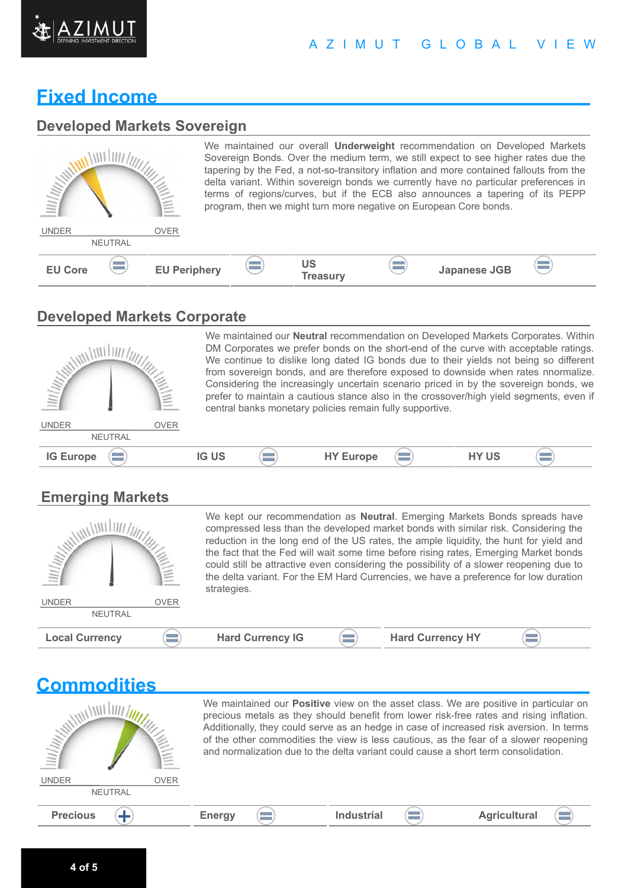

#### A Z I M U T G L O B A L V I E W

### **Fixed Income**

#### **Developed Markets Sovereign**

| <b>MANAGEMENT</b>              | <b>ANIMAL</b>       |                       |          | We maintained our overall <b>Underweight</b> recommendation on Developed Markets<br>Sovereign Bonds. Over the medium term, we still expect to see higher rates due the<br>tapering by the Fed, a not-so-transitory inflation and more contained fallouts from the<br>delta variant. Within sovereign bonds we currently have no particular preferences in<br>terms of regions/curves, but if the ECB also announces a tapering of its PEPP<br>program, then we might turn more negative on European Core bonds. |  |
|--------------------------------|---------------------|-----------------------|----------|-----------------------------------------------------------------------------------------------------------------------------------------------------------------------------------------------------------------------------------------------------------------------------------------------------------------------------------------------------------------------------------------------------------------------------------------------------------------------------------------------------------------|--|
| <b>UNDER</b><br><b>NEUTRAL</b> | <b>OVER</b>         |                       |          |                                                                                                                                                                                                                                                                                                                                                                                                                                                                                                                 |  |
| <b>EU Core</b>                 | <b>EU Periphery</b> | <b>US</b><br>Treasury | $\equiv$ | Japanese JGB                                                                                                                                                                                                                                                                                                                                                                                                                                                                                                    |  |

#### **Developed Markets Corporate**



We maintained our **Neutral** recommendation on Developed Markets Corporates. Within DM Corporates we prefer bonds on the short-end of the curve with acceptable ratings. We continue to dislike long dated IG bonds due to their yields not being so different from sovereign bonds, and are therefore exposed to downside when rates nnormalize. Considering the increasingly uncertain scenario priced in by the sovereign bonds, we prefer to maintain a cautious stance also in the crossover/high yield segments, even if central banks monetary policies remain fully supportive.

 $\left( \equiv \right)$ 

#### **Emerging Markets**

| <b>WILLIAM AND STRAIGHT</b> |             | We kept our recommendation as <b>Neutral</b> . Emerging Markets Bonds spreads have<br>compressed less than the developed market bonds with similar risk. Considering the<br>reduction in the long end of the US rates, the ample liquidity, the hunt for yield and<br>the fact that the Fed will wait some time before rising rates, Emerging Market bonds<br>could still be attractive even considering the possibility of a slower reopening due to<br>the delta variant. For the EM Hard Currencies, we have a preference for low duration<br>strategies. |  |                         |  |
|-----------------------------|-------------|--------------------------------------------------------------------------------------------------------------------------------------------------------------------------------------------------------------------------------------------------------------------------------------------------------------------------------------------------------------------------------------------------------------------------------------------------------------------------------------------------------------------------------------------------------------|--|-------------------------|--|
| <b>UNDER</b>                | <b>OVER</b> |                                                                                                                                                                                                                                                                                                                                                                                                                                                                                                                                                              |  |                         |  |
| <b>NEUTRAL</b>              |             |                                                                                                                                                                                                                                                                                                                                                                                                                                                                                                                                                              |  |                         |  |
| <b>Local Currency</b>       |             | <b>Hard Currency IG</b>                                                                                                                                                                                                                                                                                                                                                                                                                                                                                                                                      |  | <b>Hard Currency HY</b> |  |

| <b>Commodities</b>                            |                                                                                                                                                                                                                                                                                                                                                                                                                                                           |                   |                     |  |  |  |
|-----------------------------------------------|-----------------------------------------------------------------------------------------------------------------------------------------------------------------------------------------------------------------------------------------------------------------------------------------------------------------------------------------------------------------------------------------------------------------------------------------------------------|-------------------|---------------------|--|--|--|
| <b>William</b>                                | We maintained our Positive view on the asset class. We are positive in particular on<br>precious metals as they should benefit from lower risk-free rates and rising inflation.<br>Additionally, they could serve as an hedge in case of increased risk aversion. In terms<br>of the other commodities the view is less cautious, as the fear of a slower reopening<br>and normalization due to the delta variant could cause a short term consolidation. |                   |                     |  |  |  |
| <b>UNDER</b><br><b>OVER</b><br><b>NEUTRAL</b> |                                                                                                                                                                                                                                                                                                                                                                                                                                                           |                   |                     |  |  |  |
| <b>Precious</b>                               | <b>Energy</b>                                                                                                                                                                                                                                                                                                                                                                                                                                             | <b>Industrial</b> | <b>Agricultural</b> |  |  |  |